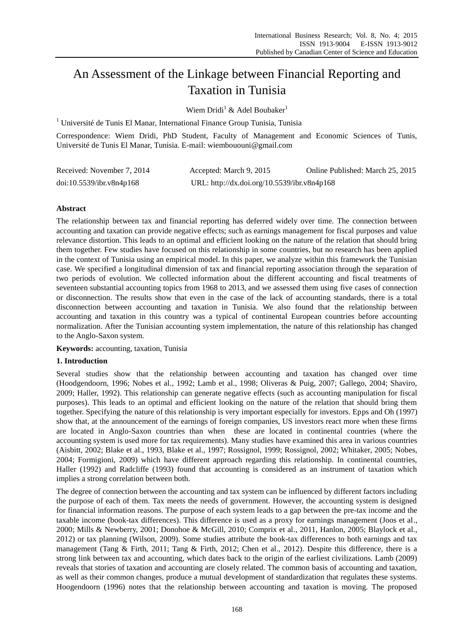# An Assessment of the Linkage between Financial Reporting and Taxation in Tunisia

Wiem Dridi<sup>1</sup> & Adel Boubaker<sup>1</sup>

 $1$  Université de Tunis El Manar, International Finance Group Tunisia, Tunisia

Correspondence: Wiem Dridi, PhD Student, Faculty of Management and Economic Sciences of Tunis, Université de Tunis El Manar, Tunisia. E-mail: wiembououni@gmail.com

| Received: November 7, 2014 | Accepted: March 9, 2015                     | Online Published: March 25, 2015 |
|----------------------------|---------------------------------------------|----------------------------------|
| doi:10.5539/ibr.v8n4p168   | URL: http://dx.doi.org/10.5539/ibr.v8n4p168 |                                  |

## **Abstract**

The relationship between tax and financial reporting has deferred widely over time. The connection between accounting and taxation can provide negative effects; such as earnings management for fiscal purposes and value relevance distortion. This leads to an optimal and efficient looking on the nature of the relation that should bring them together. Few studies have focused on this relationship in some countries, but no research has been applied in the context of Tunisia using an empirical model. In this paper, we analyze within this framework the Tunisian case. We specified a longitudinal dimension of tax and financial reporting association through the separation of two periods of evolution. We collected information about the different accounting and fiscal treatments of seventeen substantial accounting topics from 1968 to 2013, and we assessed them using five cases of connection or disconnection. The results show that even in the case of the lack of accounting standards, there is a total disconnection between accounting and taxation in Tunisia. We also found that the relationship between accounting and taxation in this country was a typical of continental European countries before accounting normalization. After the Tunisian accounting system implementation, the nature of this relationship has changed to the Anglo-Saxon system.

**Keywords:** accounting, taxation, Tunisia

### **1. Introduction**

Several studies show that the relationship between accounting and taxation has changed over time (Hoodgendoorn, 1996; Nobes et al., 1992; Lamb et al., 1998; Oliveras & Puig, 2007; Gallego, 2004; Shaviro, 2009; Haller, 1992). This relationship can generate negative effects (such as accounting manipulation for fiscal purposes). This leads to an optimal and efficient looking on the nature of the relation that should bring them together. Specifying the nature of this relationship is very important especially for investors. Epps and Oh (1997) show that, at the announcement of the earnings of foreign companies, US investors react more when these firms are located in Anglo-Saxon countries than when these are located in continental countries (where the accounting system is used more for tax requirements). Many studies have examined this area in various countries (Aisbitt, 2002; Blake et al., 1993, Blake et al., 1997; Rossignol, 1999; Rossignol, 2002; Whitaker, 2005; Nobes, 2004; Formigioni, 2009) which have different approach regarding this relationship. In continental countries, Haller (1992) and Radcliffe (1993) found that accounting is considered as an instrument of taxation which implies a strong correlation between both.

The degree of connection between the accounting and tax system can be influenced by different factors including the purpose of each of them. Tax meets the needs of government. However, the accounting system is designed for financial information reasons. The purpose of each system leads to a gap between the pre-tax income and the taxable income (book-tax differences). This difference is used as a proxy for earnings management (Joos et al., 2000; Mills & Newberry, 2001; Donohoe & McGill, 2010; Comprix et al., 2011, Hanlon, 2005; Blaylock et al., 2012) or tax planning (Wilson, 2009). Some studies attribute the book-tax differences to both earnings and tax management (Tang & Firth, 2011; Tang & Firth, 2012; Chen et al., 2012). Despite this difference, there is a strong link between tax and accounting, which dates back to the origin of the earliest civilizations. Lamb (2009) reveals that stories of taxation and accounting are closely related. The common basis of accounting and taxation, as well as their common changes, produce a mutual development of standardization that regulates these systems. Hoogendoorn (1996) notes that the relationship between accounting and taxation is moving. The proposed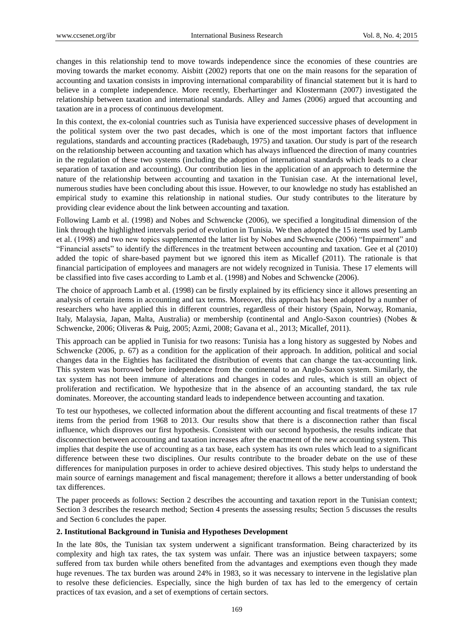changes in this relationship tend to move towards independence since the economies of these countries are moving towards the market economy. Aisbitt (2002) reports that one on the main reasons for the separation of accounting and taxation consists in improving international comparability of financial statement but it is hard to believe in a complete independence. More recently, Eberhartinger and Klostermann (2007) investigated the relationship between taxation and international standards. Alley and James (2006) argued that accounting and taxation are in a process of continuous development.

In this context, the ex-colonial countries such as Tunisia have experienced successive phases of development in the political system over the two past decades, which is one of the most important factors that influence regulations, standards and accounting practices (Radebaugh, 1975) and taxation. Our study is part of the research on the relationship between accounting and taxation which has always influenced the direction of many countries in the regulation of these two systems (including the adoption of international standards which leads to a clear separation of taxation and accounting). Our contribution lies in the application of an approach to determine the nature of the relationship between accounting and taxation in the Tunisian case. At the international level, numerous studies have been concluding about this issue. However, to our knowledge no study has established an empirical study to examine this relationship in national studies. Our study contributes to the literature by providing clear evidence about the link between accounting and taxation.

Following Lamb et al. (1998) and Nobes and Schwencke (2006), we specified a longitudinal dimension of the link through the highlighted intervals period of evolution in Tunisia. We then adopted the 15 items used by Lamb et al. (1998) and two new topics supplemented the latter list by Nobes and Schwencke (2006) "Impairment" and "Financial assets" to identify the differences in the treatment between accounting and taxation. Gee et al (2010) added the topic of share-based payment but we ignored this item as Micallef (2011). The rationale is that financial participation of employees and managers are not widely recognized in Tunisia. These 17 elements will be classified into five cases according to Lamb et al. (1998) and Nobes and Schwencke (2006).

The choice of approach Lamb et al. (1998) can be firstly explained by its efficiency since it allows presenting an analysis of certain items in accounting and tax terms. Moreover, this approach has been adopted by a number of researchers who have applied this in different countries, regardless of their history (Spain, Norway, Romania, Italy, Malaysia, Japan, Malta, Australia) or membership (continental and Anglo-Saxon countries) (Nobes & Schwencke, 2006; Oliveras & Puig, 2005; Azmi, 2008; Gavana et al., 2013; Micallef, 2011).

This approach can be applied in Tunisia for two reasons: Tunisia has a long history as suggested by Nobes and Schwencke (2006, p. 67) as a condition for the application of their approach. In addition, political and social changes data in the Eighties has facilitated the distribution of events that can change the tax-accounting link. This system was borrowed before independence from the continental to an Anglo-Saxon system. Similarly, the tax system has not been immune of alterations and changes in codes and rules, which is still an object of proliferation and rectification. We hypothesize that in the absence of an accounting standard, the tax rule dominates. Moreover, the accounting standard leads to independence between accounting and taxation.

To test our hypotheses, we collected information about the different accounting and fiscal treatments of these 17 items from the period from 1968 to 2013. Our results show that there is a disconnection rather than fiscal influence, which disproves our first hypothesis. Consistent with our second hypothesis, the results indicate that disconnection between accounting and taxation increases after the enactment of the new accounting system. This implies that despite the use of accounting as a tax base, each system has its own rules which lead to a significant difference between these two disciplines. Our results contribute to the broader debate on the use of these differences for manipulation purposes in order to achieve desired objectives. This study helps to understand the main source of earnings management and fiscal management; therefore it allows a better understanding of book tax differences.

The paper proceeds as follows: Section 2 describes the accounting and taxation report in the Tunisian context; Section 3 describes the research method; Section 4 presents the assessing results; Section 5 discusses the results and Section 6 concludes the paper.

#### **2. Institutional Background in Tunisia and Hypotheses Development**

In the late 80s, the Tunisian tax system underwent a significant transformation. Being characterized by its complexity and high tax rates, the tax system was unfair. There was an injustice between taxpayers; some suffered from tax burden while others benefited from the advantages and exemptions even though they made huge revenues. The tax burden was around 24% in 1983, so it was necessary to intervene in the legislative plan to resolve these deficiencies. Especially, since the high burden of tax has led to the emergency of certain practices of tax evasion, and a set of exemptions of certain sectors.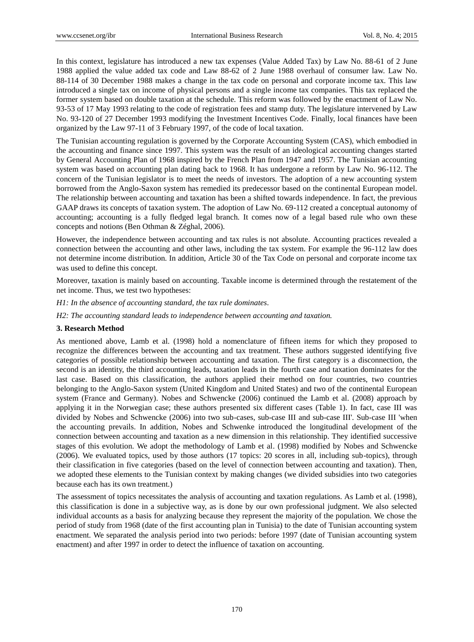In this context, legislature has introduced a new tax expenses (Value Added Tax) by Law No. 88-61 of 2 June 1988 applied the value added tax code and Law 88-62 of 2 June 1988 overhaul of consumer law. Law No. 88-114 of 30 December 1988 makes a change in the tax code on personal and corporate income tax. This law introduced a single tax on income of physical persons and a single income tax companies. This tax replaced the former system based on double taxation at the schedule. This reform was followed by the enactment of Law No. 93-53 of 17 May 1993 relating to the code of registration fees and stamp duty. The legislature intervened by Law No. 93-120 of 27 December 1993 modifying the Investment Incentives Code. Finally, local finances have been organized by the Law 97-11 of 3 February 1997, of the code of local taxation.

The Tunisian accounting regulation is governed by the Corporate Accounting System (CAS), which embodied in the accounting and finance since 1997. This system was the result of an ideological accounting changes started by General Accounting Plan of 1968 inspired by the French Plan from 1947 and 1957. The Tunisian accounting system was based on accounting plan dating back to 1968. It has undergone a reform by Law No. 96-112. The concern of the Tunisian legislator is to meet the needs of investors. The adoption of a new accounting system borrowed from the Anglo-Saxon system has remedied its predecessor based on the continental European model. The relationship between accounting and taxation has been a shifted towards independence. In fact, the previous GAAP draws its concepts of taxation system. The adoption of Law No. 69-112 created a conceptual autonomy of accounting; accounting is a fully fledged legal branch. It comes now of a legal based rule who own these concepts and notions (Ben Othman & Z éghal, 2006).

However, the independence between accounting and tax rules is not absolute. Accounting practices revealed a connection between the accounting and other laws, including the tax system. For example the 96-112 law does not determine income distribution. In addition, Article 30 of the Tax Code on personal and corporate income tax was used to define this concept.

Moreover, taxation is mainly based on accounting. Taxable income is determined through the restatement of the net income. Thus, we test two hypotheses:

*H1: In the absence of accounting standard, the tax rule dominates.*

*H2: The accounting standard leads to independence between accounting and taxation.*

### **3. Research Method**

As mentioned above, Lamb et al. (1998) hold a nomenclature of fifteen items for which they proposed to recognize the differences between the accounting and tax treatment. These authors suggested identifying five categories of possible relationship between accounting and taxation. The first category is a disconnection, the second is an identity, the third accounting leads, taxation leads in the fourth case and taxation dominates for the last case. Based on this classification, the authors applied their method on four countries, two countries belonging to the Anglo-Saxon system (United Kingdom and United States) and two of the continental European system (France and Germany). Nobes and Schwencke (2006) continued the Lamb et al. (2008) approach by applying it in the Norwegian case; these authors presented six different cases (Table 1). In fact, case III was divided by Nobes and Schwencke (2006) into two sub-cases, sub-case III and sub-case III'. Sub-case III 'when the accounting prevails. In addition, Nobes and Schwenke introduced the longitudinal development of the connection between accounting and taxation as a new dimension in this relationship. They identified successive stages of this evolution. We adopt the methodology of Lamb et al. (1998) modified by Nobes and Schwencke (2006). We evaluated topics, used by those authors (17 topics: 20 scores in all, including sub-topics), through their classification in five categories (based on the level of connection between accounting and taxation). Then, we adopted these elements to the Tunisian context by making changes (we divided subsidies into two categories because each has its own treatment.)

The assessment of topics necessitates the analysis of accounting and taxation regulations. As Lamb et al. (1998), this classification is done in a subjective way, as is done by our own professional judgment. We also selected individual accounts as a basis for analyzing because they represent the majority of the population. We chose the period of study from 1968 (date of the first accounting plan in Tunisia) to the date of Tunisian accounting system enactment. We separated the analysis period into two periods: before 1997 (date of Tunisian accounting system enactment) and after 1997 in order to detect the influence of taxation on accounting.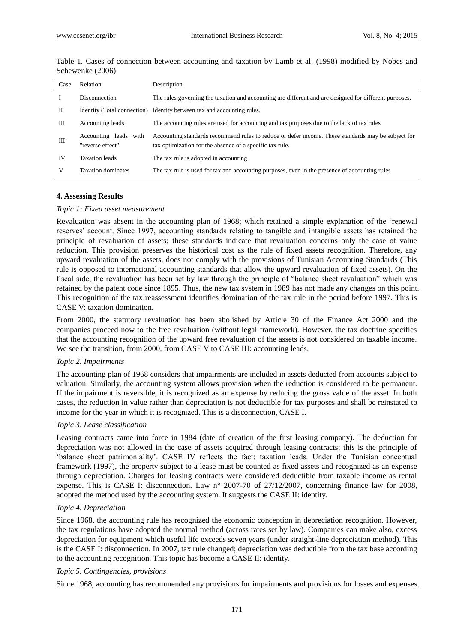| Case | Relation                                  | Description                                                                                                                                                    |
|------|-------------------------------------------|----------------------------------------------------------------------------------------------------------------------------------------------------------------|
|      | Disconnection                             | The rules governing the taxation and accounting are different and are designed for different purposes.                                                         |
| Н    |                                           | Identity (Total connection) Identity between tax and accounting rules.                                                                                         |
| Ш    | Accounting leads                          | The accounting rules are used for accounting and tax purposes due to the lack of tax rules                                                                     |
| III  | Accounting leads with<br>"reverse effect" | Accounting standards recommend rules to reduce or defer income. These standards may be subject for<br>tax optimization for the absence of a specific tax rule. |
| IV   | <b>Taxation</b> leads                     | The tax rule is adopted in accounting.                                                                                                                         |
|      | <b>Taxation dominates</b>                 | The tax rule is used for tax and accounting purposes, even in the presence of accounting rules                                                                 |

Table 1. Cases of connection between accounting and taxation by Lamb et al. (1998) modified by Nobes and Schewenke (2006)

#### **4. Assessing Results**

#### *Topic 1: Fixed asset measurement*

Revaluation was absent in the accounting plan of 1968; which retained a simple explanation of the "renewal reserves" account. Since 1997, accounting standards relating to tangible and intangible assets has retained the principle of revaluation of assets; these standards indicate that revaluation concerns only the case of value reduction. This provision preserves the historical cost as the rule of fixed assets recognition. Therefore, any upward revaluation of the assets, does not comply with the provisions of Tunisian Accounting Standards (This rule is opposed to international accounting standards that allow the upward revaluation of fixed assets). On the fiscal side, the revaluation has been set by law through the principle of "balance sheet revaluation" which was retained by the patent code since 1895. Thus, the new tax system in 1989 has not made any changes on this point. This recognition of the tax reassessment identifies domination of the tax rule in the period before 1997. This is CASE V: taxation domination.

From 2000, the statutory revaluation has been abolished by Article 30 of the Finance Act 2000 and the companies proceed now to the free revaluation (without legal framework). However, the tax doctrine specifies that the accounting recognition of the upward free revaluation of the assets is not considered on taxable income. We see the transition, from 2000, from CASE V to CASE III: accounting leads.

#### *Topic 2. Impairments*

The accounting plan of 1968 considers that impairments are included in assets deducted from accounts subject to valuation. Similarly, the accounting system allows provision when the reduction is considered to be permanent. If the impairment is reversible, it is recognized as an expense by reducing the gross value of the asset. In both cases, the reduction in value rather than depreciation is not deductible for tax purposes and shall be reinstated to income for the year in which it is recognized. This is a disconnection, CASE I.

#### *Topic 3. Lease classification*

Leasing contracts came into force in 1984 (date of creation of the first leasing company). The deduction for depreciation was not allowed in the case of assets acquired through leasing contracts; this is the principle of "balance sheet patrimoniality". CASE IV reflects the fact: taxation leads. Under the Tunisian conceptual framework (1997), the property subject to a lease must be counted as fixed assets and recognized as an expense through depreciation. Charges for leasing contracts were considered deductible from taxable income as rental expense. This is CASE I: disconnection. Law n° 2007-70 of 27/12/2007, concerning finance law for 2008, adopted the method used by the accounting system. It suggests the CASE II: identity.

#### *Topic 4. Depreciation*

Since 1968, the accounting rule has recognized the economic conception in depreciation recognition. However, the tax regulations have adopted the normal method (across rates set by law). Companies can make also, excess depreciation for equipment which useful life exceeds seven years (under straight-line depreciation method). This is the CASE I: disconnection. In 2007, tax rule changed; depreciation was deductible from the tax base according to the accounting recognition. This topic has become a CASE II: identity.

#### *Topic 5. Contingencies, provisions*

Since 1968, accounting has recommended any provisions for impairments and provisions for losses and expenses.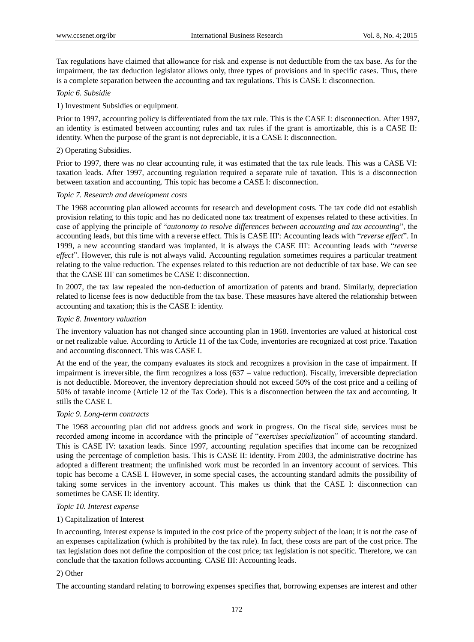Tax regulations have claimed that allowance for risk and expense is not deductible from the tax base. As for the impairment, the tax deduction legislator allows only, three types of provisions and in specific cases. Thus, there is a complete separation between the accounting and tax regulations. This is CASE I: disconnection.

## *Topic 6. Subsidie*

### 1) Investment Subsidies or equipment.

Prior to 1997, accounting policy is differentiated from the tax rule. This is the CASE I: disconnection. After 1997, an identity is estimated between accounting rules and tax rules if the grant is amortizable, this is a CASE II: identity. When the purpose of the grant is not depreciable, it is a CASE I: disconnection.

## 2) Operating Subsidies.

Prior to 1997, there was no clear accounting rule, it was estimated that the tax rule leads. This was a CASE VI: taxation leads. After 1997, accounting regulation required a separate rule of taxation. This is a disconnection between taxation and accounting. This topic has become a CASE I: disconnection.

### *Topic 7. Research and development costs*

The 1968 accounting plan allowed accounts for research and development costs. The tax code did not establish provision relating to this topic and has no dedicated none tax treatment of expenses related to these activities. In case of applying the principle of "*autonomy to resolve differences between accounting and tax accounting*", the accounting leads, but this time with a reverse effect. This is CASE III': Accounting leads with "*reverse effect*". In 1999, a new accounting standard was implanted, it is always the CASE III': Accounting leads with "*reverse effect*". However, this rule is not always valid. Accounting regulation sometimes requires a particular treatment relating to the value reduction. The expenses related to this reduction are not deductible of tax base. We can see that the CASE III' can sometimes be CASE I: disconnection.

In 2007, the tax law repealed the non-deduction of amortization of patents and brand. Similarly, depreciation related to license fees is now deductible from the tax base. These measures have altered the relationship between accounting and taxation; this is the CASE I: identity.

## *Topic 8. Inventory valuation*

The inventory valuation has not changed since accounting plan in 1968. Inventories are valued at historical cost or net realizable value. According to Article 11 of the tax Code, inventories are recognized at cost price. Taxation and accounting disconnect. This was CASE I.

At the end of the year, the company evaluates its stock and recognizes a provision in the case of impairment. If impairment is irreversible, the firm recognizes a loss (637 – value reduction). Fiscally, irreversible depreciation is not deductible. Moreover, the inventory depreciation should not exceed 50% of the cost price and a ceiling of 50% of taxable income (Article 12 of the Tax Code). This is a disconnection between the tax and accounting. It stills the CASE I.

### *Topic 9. Long-term contracts*

The 1968 accounting plan did not address goods and work in progress. On the fiscal side, services must be recorded among income in accordance with the principle of "*exercises specialization*" of accounting standard. This is CASE IV: taxation leads. Since 1997, accounting regulation specifies that income can be recognized using the percentage of completion basis. This is CASE II: identity. From 2003, the administrative doctrine has adopted a different treatment; the unfinished work must be recorded in an inventory account of services. This topic has become a CASE I. However, in some special cases, the accounting standard admits the possibility of taking some services in the inventory account. This makes us think that the CASE I: disconnection can sometimes be CASE II: identity.

### *Topic 10. Interest expense*

### 1) Capitalization of Interest

In accounting, interest expense is imputed in the cost price of the property subject of the loan; it is not the case of an expenses capitalization (which is prohibited by the tax rule). In fact, these costs are part of the cost price. The tax legislation does not define the composition of the cost price; tax legislation is not specific. Therefore, we can conclude that the taxation follows accounting. CASE III: Accounting leads.

### 2) Other

The accounting standard relating to borrowing expenses specifies that, borrowing expenses are interest and other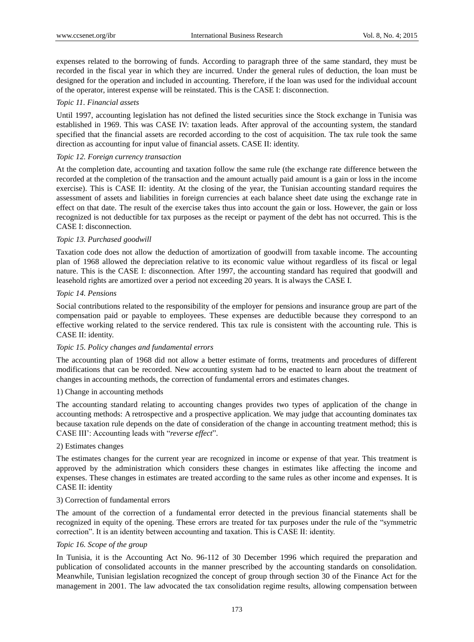expenses related to the borrowing of funds. According to paragraph three of the same standard, they must be recorded in the fiscal year in which they are incurred. Under the general rules of deduction, the loan must be designed for the operation and included in accounting. Therefore, if the loan was used for the individual account of the operator, interest expense will be reinstated. This is the CASE I: disconnection.

### *Topic 11. Financial assets*

Until 1997, accounting legislation has not defined the listed securities since the Stock exchange in Tunisia was established in 1969. This was CASE IV: taxation leads. After approval of the accounting system, the standard specified that the financial assets are recorded according to the cost of acquisition. The tax rule took the same direction as accounting for input value of financial assets. CASE II: identity.

## *Topic 12. Foreign currency transaction*

At the completion date, accounting and taxation follow the same rule (the exchange rate difference between the recorded at the completion of the transaction and the amount actually paid amount is a gain or loss in the income exercise). This is CASE II: identity. At the closing of the year, the Tunisian accounting standard requires the assessment of assets and liabilities in foreign currencies at each balance sheet date using the exchange rate in effect on that date. The result of the exercise takes thus into account the gain or loss. However, the gain or loss recognized is not deductible for tax purposes as the receipt or payment of the debt has not occurred. This is the CASE I: disconnection.

### *Topic 13. Purchased goodwill*

Taxation code does not allow the deduction of amortization of goodwill from taxable income. The accounting plan of 1968 allowed the depreciation relative to its economic value without regardless of its fiscal or legal nature. This is the CASE I: disconnection. After 1997, the accounting standard has required that goodwill and leasehold rights are amortized over a period not exceeding 20 years. It is always the CASE I.

## *Topic 14. Pensions*

Social contributions related to the responsibility of the employer for pensions and insurance group are part of the compensation paid or payable to employees. These expenses are deductible because they correspond to an effective working related to the service rendered. This tax rule is consistent with the accounting rule. This is CASE II: identity.

### *Topic 15. Policy changes and fundamental errors*

The accounting plan of 1968 did not allow a better estimate of forms, treatments and procedures of different modifications that can be recorded. New accounting system had to be enacted to learn about the treatment of changes in accounting methods, the correction of fundamental errors and estimates changes.

## 1) Change in accounting methods

The accounting standard relating to accounting changes provides two types of application of the change in accounting methods: A retrospective and a prospective application. We may judge that accounting dominates tax because taxation rule depends on the date of consideration of the change in accounting treatment method; this is CASE III": Accounting leads with "*reverse effect*".

### 2) Estimates changes

The estimates changes for the current year are recognized in income or expense of that year. This treatment is approved by the administration which considers these changes in estimates like affecting the income and expenses. These changes in estimates are treated according to the same rules as other income and expenses. It is CASE II: identity

### 3) Correction of fundamental errors

The amount of the correction of a fundamental error detected in the previous financial statements shall be recognized in equity of the opening. These errors are treated for tax purposes under the rule of the "symmetric correction". It is an identity between accounting and taxation. This is CASE II: identity.

### *Topic 16. Scope of the group*

In Tunisia, it is the Accounting Act No. 96-112 of 30 December 1996 which required the preparation and publication of consolidated accounts in the manner prescribed by the accounting standards on consolidation. Meanwhile, Tunisian legislation recognized the concept of group through section 30 of the Finance Act for the management in 2001. The law advocated the tax consolidation regime results, allowing compensation between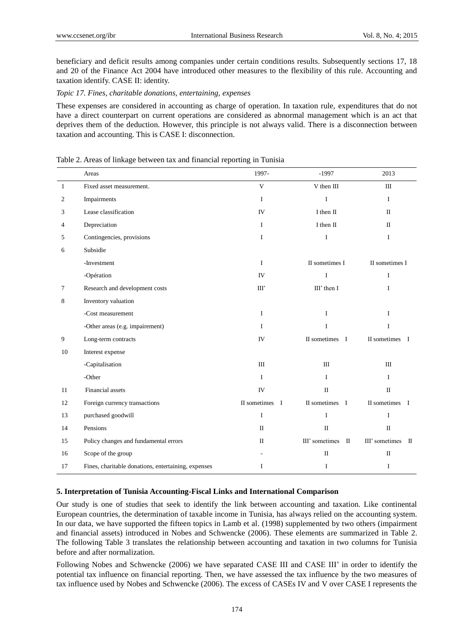beneficiary and deficit results among companies under certain conditions results. Subsequently sections 17, 18 and 20 of the Finance Act 2004 have introduced other measures to the flexibility of this rule. Accounting and taxation identify. CASE II: identity.

#### *Topic 17. Fines, charitable donations, entertaining, expenses*

These expenses are considered in accounting as charge of operation. In taxation rule, expenditures that do not have a direct counterpart on current operations are considered as abnormal management which is an act that deprives them of the deduction. However, this principle is not always valid. There is a disconnection between taxation and accounting. This is CASE I: disconnection.

#### Table 2. Areas of linkage between tax and financial reporting in Tunisia

|              | Areas                                               | 1997-          | $-1997$                    | 2013                           |  |
|--------------|-----------------------------------------------------|----------------|----------------------------|--------------------------------|--|
| $\mathbf{1}$ | Fixed asset measurement.                            | $\mathbf{V}$   | V then III<br>Ш            |                                |  |
| 2            | Impairments                                         | I              | $\bf I$                    | $\mathbf I$                    |  |
| 3            | Lease classification                                | IV             | I then II                  | $\mathbf{I}$                   |  |
| 4            | Depreciation                                        | I              | I then II                  | $\Pi$                          |  |
| 5            | Contingencies, provisions                           | $\mathbf I$    | $\mathbf I$<br>$\mathbf I$ |                                |  |
| 6            | Subsidie                                            |                |                            |                                |  |
|              | -Investment                                         | $\mathbf{I}$   | II sometimes I             | II sometimes I                 |  |
|              | -Opération                                          | IV             | $\bf I$                    | I                              |  |
| 7            | Research and development costs                      | III'           | III' then I<br>I           |                                |  |
| 8            | Inventory valuation                                 |                |                            |                                |  |
|              | -Cost measurement                                   | $\mathbf{I}$   | I                          | $\mathbf{I}$                   |  |
|              | -Other areas (e.g. impairement)                     | $\mathbf I$    | $\bf I$                    | $\mathbf I$                    |  |
| 9            | Long-term contracts                                 | IV             | II sometimes I             | II sometimes I                 |  |
| 10           | Interest expense                                    |                |                            |                                |  |
|              | -Capitalisation                                     | III            | III                        | III                            |  |
|              | -Other                                              | $\mathbf{I}$   | I                          | L                              |  |
| 11           | Financial assets                                    | IV             | $\mathbf I$                | $\mathbf{I}$                   |  |
| 12           | Foreign currency transactions                       | II sometimes I | II sometimes I             | II sometimes I                 |  |
| 13           | purchased goodwill                                  | $\mathbf I$    | I                          | I                              |  |
| 14           | Pensions                                            | $\mathbf{I}$   | $\rm II$                   | $\rm II$                       |  |
| 15           | Policy changes and fundamental errors               | $\mathbf{I}$   | III' sometimes II          | III' sometimes<br>$\mathbf{I}$ |  |
| 16           | Scope of the group                                  |                | $\rm II$                   | $\rm II$                       |  |
| 17           | Fines, charitable donations, entertaining, expenses | $\bf I$        | $\rm I$                    | I                              |  |

#### **5. Interpretation of Tunisia Accounting-Fiscal Links and International Comparison**

Our study is one of studies that seek to identify the link between accounting and taxation. Like continental European countries, the determination of taxable income in Tunisia, has always relied on the accounting system. In our data, we have supported the fifteen topics in Lamb et al. (1998) supplemented by two others (impairment and financial assets) introduced in Nobes and Schwencke (2006). These elements are summarized in Table 2. The following Table 3 translates the relationship between accounting and taxation in two columns for Tunisia before and after normalization.

Following Nobes and Schwencke (2006) we have separated CASE III and CASE III' in order to identify the potential tax influence on financial reporting. Then, we have assessed the tax influence by the two measures of tax influence used by Nobes and Schwencke (2006). The excess of CASEs IV and V over CASE I represents the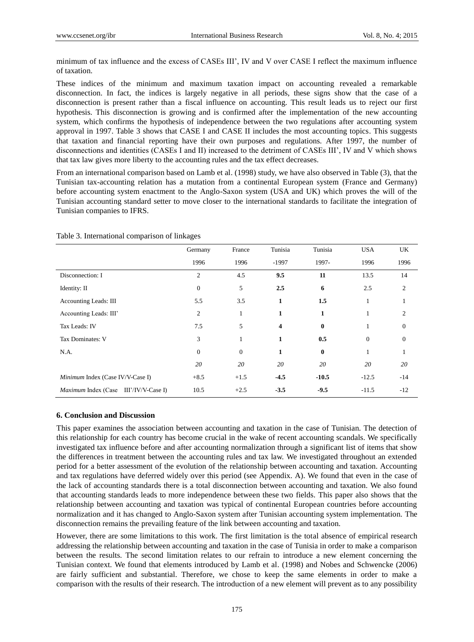minimum of tax influence and the excess of CASEs III", IV and V over CASE I reflect the maximum influence of taxation.

These indices of the minimum and maximum taxation impact on accounting revealed a remarkable disconnection. In fact, the indices is largely negative in all periods, these signs show that the case of a disconnection is present rather than a fiscal influence on accounting. This result leads us to reject our first hypothesis. This disconnection is growing and is confirmed after the implementation of the new accounting system, which confirms the hypothesis of independence between the two regulations after accounting system approval in 1997. Table 3 shows that CASE I and CASE II includes the most accounting topics. This suggests that taxation and financial reporting have their own purposes and regulations. After 1997, the number of disconnections and identities (CASEs I and II) increased to the detriment of CASEs III", IV and V which shows that tax law gives more liberty to the accounting rules and the tax effect decreases.

From an international comparison based on Lamb et al. (1998) study, we have also observed in Table (3), that the Tunisian tax-accounting relation has a mutation from a continental European system (France and Germany) before accounting system enactment to the Anglo-Saxon system (USA and UK) which proves the will of the Tunisian accounting standard setter to move closer to the international standards to facilitate the integration of Tunisian companies to IFRS.

|                                       | Germany        | France         | Tunisia      | Tunisia  | <b>USA</b>       | UK             |
|---------------------------------------|----------------|----------------|--------------|----------|------------------|----------------|
|                                       | 1996           | 1996           | $-1997$      | 1997-    | 1996             | 1996           |
| Disconnection: I                      | 2              | 4.5            | 9.5          | 11       | 13.5             | 14             |
| Identity: II                          | $\mathbf{0}$   | 5              | 2.5          | 6        | 2.5              | 2              |
| <b>Accounting Leads: III</b>          | 5.5            | 3.5            | $\mathbf{1}$ | 1.5      | 1                |                |
| Accounting Leads: III'                | $\mathfrak{2}$ | 1              | 1            | 1        |                  | 2              |
| Tax Leads: IV                         | 7.5            | 5              | 4            | $\bf{0}$ |                  | $\overline{0}$ |
| Tax Dominates: V                      | 3              | 1              | 1            | 0.5      | $\boldsymbol{0}$ | $\theta$       |
| N.A.                                  | $\mathbf{0}$   | $\overline{0}$ | $\mathbf{1}$ | $\bf{0}$ | 1                | 1              |
|                                       | 20             | 20             | 20           | 20       | 20               | 20             |
| Minimum Index (Case IV/V-Case I)      | $+8.5$         | $+1.5$         | $-4.5$       | $-10.5$  | $-12.5$          | $-14$          |
| Maximum Index (Case III'/IV/V-Case I) | 10.5           | $+2.5$         | $-3.5$       | $-9.5$   | $-11.5$          | $-12$          |

Table 3. International comparison of linkages

#### **6. Conclusion and Discussion**

This paper examines the association between accounting and taxation in the case of Tunisian. The detection of this relationship for each country has become crucial in the wake of recent accounting scandals. We specifically investigated tax influence before and after accounting normalization through a significant list of items that show the differences in treatment between the accounting rules and tax law. We investigated throughout an extended period for a better assessment of the evolution of the relationship between accounting and taxation. Accounting and tax regulations have deferred widely over this period (see Appendix. A). We found that even in the case of the lack of accounting standards there is a total disconnection between accounting and taxation. We also found that accounting standards leads to more independence between these two fields. This paper also shows that the relationship between accounting and taxation was typical of continental European countries before accounting normalization and it has changed to Anglo-Saxon system after Tunisian accounting system implementation. The disconnection remains the prevailing feature of the link between accounting and taxation.

However, there are some limitations to this work. The first limitation is the total absence of empirical research addressing the relationship between accounting and taxation in the case of Tunisia in order to make a comparison between the results. The second limitation relates to our refrain to introduce a new element concerning the Tunisian context. We found that elements introduced by Lamb et al. (1998) and Nobes and Schwencke (2006) are fairly sufficient and substantial. Therefore, we chose to keep the same elements in order to make a comparison with the results of their research. The introduction of a new element will prevent as to any possibility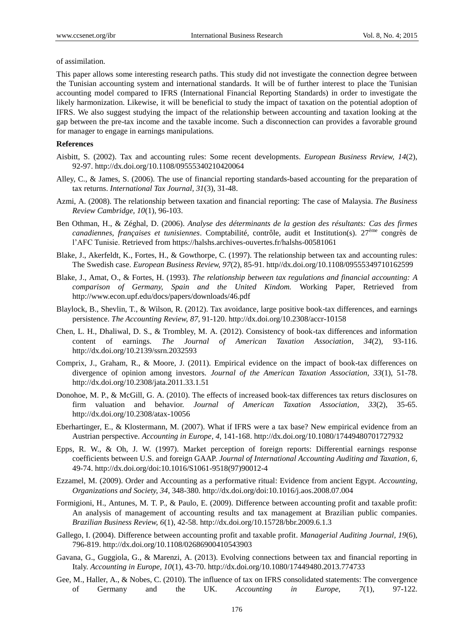of assimilation.

This paper allows some interesting research paths. This study did not investigate the connection degree between the Tunisian accounting system and international standards. It will be of further interest to place the Tunisian accounting model compared to IFRS (International Financial Reporting Standards) in order to investigate the likely harmonization. Likewise, it will be beneficial to study the impact of taxation on the potential adoption of IFRS. We also suggest studying the impact of the relationship between accounting and taxation looking at the gap between the pre-tax income and the taxable income. Such a disconnection can provides a favorable ground for manager to engage in earnings manipulations.

#### **References**

- Aisbitt, S. (2002). Tax and accounting rules: Some recent developments. *European Business Review, 14*(2), 92-97. http://dx.doi.org/10.1108/09555340210420064
- Alley, C., & James, S. (2006). The use of financial reporting standards-based accounting for the preparation of tax returns. *International Tax Journal, 31*(3), 31-48.
- Azmi, A. (2008). The relationship between taxation and financial reporting: The case of Malaysia. *The Business Review Cambridge, 10*(1), 96-103.
- Ben Othman, H., & Zéghal, D. (2006). *Analyse des déterminants de la gestion des résultants: Cas des firmes canadiennes, françaises et tunisiennes.* Comptabilité, contrôle, audit et Institution(s). 27<sup>ème</sup> congrès de l"AFC Tunisie. Retrieved from https://halshs.archives-ouvertes.fr/halshs-00581061
- Blake, J., Akerfeldt, K., Fortes, H., & Gowthorpe, C. (1997). The relationship between tax and accounting rules: The Swedish case. *European Business Review, 97*(2), 85-91. http//dx.doi.org/10.1108/09555349710162599
- Blake, J., Amat, O., & Fortes, H. (1993). *The relationship between tax regulations and financial accounting: A comparison of Germany, Spain and the United Kindom.* Working Paper, Retrieved from http://www.econ.upf.edu/docs/papers/downloads/46.pdf
- Blaylock, B., Shevlin, T., & Wilson, R. (2012). Tax avoidance, large positive book-tax differences, and earnings persistence. *The Accounting Review, 87*, 91-120. http://dx.doi.org/10.2308/accr-10158
- Chen, L. H., Dhaliwal, D. S., & Trombley, M. A. (2012). Consistency of book-tax differences and information content of earnings. *The Journal of American Taxation Association, 34*(2), 93-116. http://dx.doi.org/10.2139/ssrn.2032593
- Comprix, J., Graham, R., & Moore, J. (2011). Empirical evidence on the impact of book-tax differences on divergence of opinion among investors. *Journal of the American Taxation Association, 33*(1), 51-78. http://dx.doi.org/10.2308/jata.2011.33.1.51
- Donohoe, M. P., & McGill, G. A. (2010). The effects of increased book-tax differences tax returs disclosures on firm valuation and behavior. *Journal of American Taxation Association, 33*(2), 35-65. http://dx.doi.org/10.2308/atax-10056
- Eberhartinger, E., & Klostermann, M. (2007). What if IFRS were a tax base? New empirical evidence from an Austrian perspective. *Accounting in Europe, 4*, 141-168. http://dx.doi.org/10.1080/17449480701727932
- Epps, R. W., & Oh, J. W. (1997). Market perception of foreign reports: Differential earnings response coefficients between U.S. and foreign GAAP. *Journal of International Accounting Auditing and Taxation, 6*, 49-74. http://dx.doi.org/doi:10.1016/S1061-9518(97)90012-4
- Ezzamel, M. (2009). Order and Accounting as a performative ritual: Evidence from ancient Egypt. *Accounting, Organizations and Society, 34*, 348-380. http://dx.doi.org/doi:10.1016/j.aos.2008.07.004
- Formigioni, H., Antunes, M. T. P., & Paulo, E. (2009). Difference between accounting profit and taxable profit: An analysis of management of accounting results and tax management at Brazilian public companies. *Brazilian Business Review, 6*(1), 42-58. http://dx.doi.org/10.15728/bbr.2009.6.1.3
- Gallego, I. (2004). Difference between accounting profit and taxable profit. *Managerial Auditing Journal, 19*(6), 796-819. http://dx.doi.org/10.1108/02686900410543903
- Gavana, G., Guggiola, G., & Marenzi, A. (2013). Evolving connections between tax and financial reporting in Italy. *Accounting in Europe, 10*(1), 43-70. http://dx.doi.org/10.1080/17449480.2013.774733
- Gee, M., Haller, A., & Nobes, C. (2010). The influence of tax on IFRS consolidated statements: The convergence of Germany and the UK. *Accounting in Europe, 7*(1), 97-122.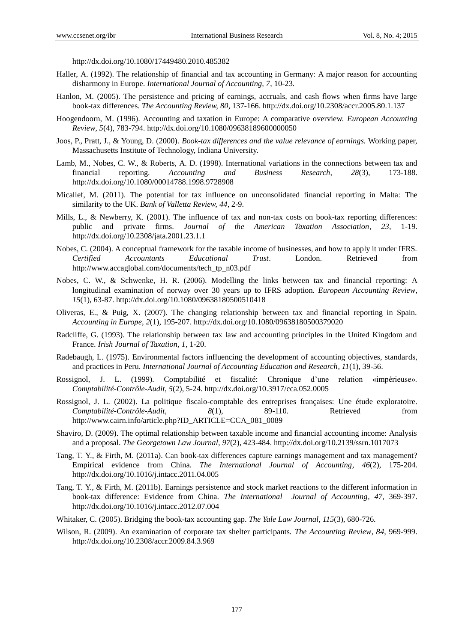http://dx.doi.org/10.1080/17449480.2010.485382

- Haller, A. (1992). The relationship of financial and tax accounting in Germany: A major reason for accounting disharmony in Europe. *International Journal of Accounting, 7*, 10-23.
- Hanlon, M. (2005). The persistence and pricing of earnings, accruals, and cash flows when firms have large book-tax differences. *The Accounting Review, 80*, 137-166. http://dx.doi.org/10.2308/accr.2005.80.1.137
- Hoogendoorn, M. (1996). Accounting and taxation in Europe: A comparative overview. *European Accounting Review, 5*(4), 783-794. http://dx.doi.org/10.1080/09638189600000050
- Joos, P., Pratt, J., & Young, D. (2000). *Book-tax differences and the value relevance of earnings.* Working paper, Massachusetts Institute of Technology, Indiana University.
- Lamb, M., Nobes, C. W., & Roberts, A. D. (1998). International variations in the connections between tax and financial reporting. *Accounting and Business Research, 28*(3), 173-188. http://dx.doi.org/10.1080/00014788.1998.9728908
- Micallef, M. (2011). The potential for tax influence on unconsolidated financial reporting in Malta: The similarity to the UK. *Bank of Valletta Review, 44*, 2-9.
- Mills, L., & Newberry, K. (2001). The influence of tax and non-tax costs on book-tax reporting differences: public and private firms. *Journal of the American Taxation Association, 23*, 1-19. http://dx.doi.org/10.2308/jata.2001.23.1.1
- Nobes, C. (2004). A conceptual framework for the taxable income of businesses, and how to apply it under IFRS. *Certified Accountants Educational Trust*. London. Retrieved from http://www.accaglobal.com/documents/tech\_tp\_n03.pdf
- Nobes, C. W., & Schwenke, H. R. (2006). Modelling the links between tax and financial reporting: A longitudinal examination of norway over 30 years up to IFRS adoption. *European Accounting Review*, *15*(1), 63-87. http://dx.doi.org/10.1080/09638180500510418
- Oliveras, E., & Puig, X. (2007). The changing relationship between tax and financial reporting in Spain. *Accounting in Europe, 2*(1), 195-207. http://dx.doi.org/10.1080/09638180500379020
- Radcliffe, G. (1993). The relationship between tax law and accounting principles in the United Kingdom and France. *Irish Journal of Taxation, 1*, 1-20.
- Radebaugh, L. (1975). Environmental factors influencing the development of accounting objectives, standards, and practices in Peru. *International Journal of Accounting Education and Research, 11*(1), 39-56.
- Rossignol, J. L. (1999). Comptabilité et fiscalité Chronique d'une relation «impérieuse». *Comptabilité-Contrôle-Audit, 5*(2), 5-24. http://dx.doi.org/10.3917/cca.052.0005
- Rossignol, J. L. (2002). La politique fiscalo-comptable des entreprises françaises: Une étude exploratoire. *Comptabilité-Contrôle-Audit, 8*(1), 89-110. Retrieved from http://www.cairn.info/article.php?ID\_ARTICLE=CCA\_081\_0089
- Shaviro, D. (2009). The optimal relationship between taxable income and financial accounting income: Analysis and a proposal. *The Georgetown Law Journal, 97*(2), 423-484. http://dx.doi.org/10.2139/ssrn.1017073
- Tang, T. Y., & Firth, M. (2011a). Can book-tax differences capture earnings management and tax management? Empirical evidence from China. *The International Journal of Accounting, 46*(2), 175-204. http://dx.doi.org/10.1016/j.intacc.2011.04.005
- Tang, T. Y., & Firth, M. (2011b). Earnings persistence and stock market reactions to the different information in book-tax difference: Evidence from China. *The International Journal of Accounting, 47*, 369-397. http://dx.doi.org/10.1016/j.intacc.2012.07.004
- Whitaker, C. (2005). Bridging the book-tax accounting gap. *The Yale Law Journal, 115*(3), 680-726.
- Wilson, R. (2009). An examination of corporate tax shelter participants. *The Accounting Review, 84*, 969-999. http://dx.doi.org/10.2308/accr.2009.84.3.969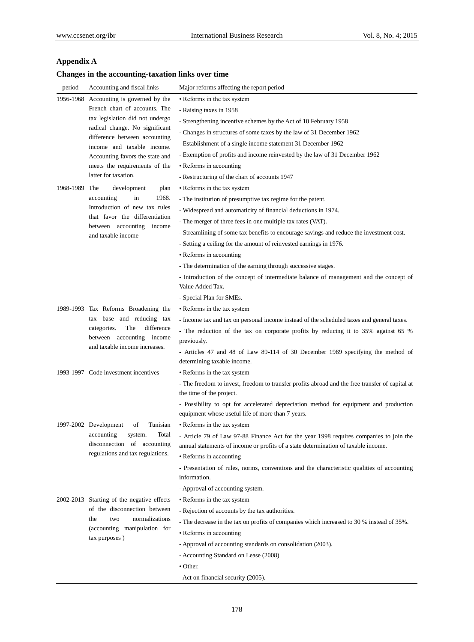# **Appendix A**

# **Changes in the accounting-taxation links over time**

| period    | Accounting and fiscal links                                                                                                                                                   | Major reforms affecting the report period                                                                                   |
|-----------|-------------------------------------------------------------------------------------------------------------------------------------------------------------------------------|-----------------------------------------------------------------------------------------------------------------------------|
| 1956-1968 | Accounting is governed by the<br>French chart of accounts. The                                                                                                                | • Reforms in the tax system                                                                                                 |
|           |                                                                                                                                                                               | - Raising taxes in 1958                                                                                                     |
|           | tax legislation did not undergo                                                                                                                                               | - Strengthening incentive schemes by the Act of 10 February 1958                                                            |
|           | radical change. No significant                                                                                                                                                | - Changes in structures of some taxes by the law of 31 December 1962                                                        |
|           | difference between accounting<br>income and taxable income.                                                                                                                   | - Establishment of a single income statement 31 December 1962                                                               |
|           | Accounting favors the state and                                                                                                                                               | - Exemption of profits and income reinvested by the law of 31 December 1962                                                 |
|           | meets the requirements of the<br>latter for taxation.                                                                                                                         | • Reforms in accounting                                                                                                     |
|           |                                                                                                                                                                               | - Restructuring of the chart of accounts 1947                                                                               |
| 1968-1989 | The<br>development<br>plan<br>in<br>1968.<br>accounting<br>Introduction of new tax rules<br>that favor the differentiation<br>between accounting income<br>and taxable income | • Reforms in the tax system                                                                                                 |
|           |                                                                                                                                                                               | - The institution of presumptive tax regime for the patent.                                                                 |
|           |                                                                                                                                                                               | - Widespread and automaticity of financial deductions in 1974.                                                              |
|           |                                                                                                                                                                               | - The merger of three fees in one multiple tax rates (VAT).                                                                 |
|           |                                                                                                                                                                               | - Streamlining of some tax benefits to encourage savings and reduce the investment cost.                                    |
|           |                                                                                                                                                                               | - Setting a ceiling for the amount of reinvested earnings in 1976.                                                          |
|           |                                                                                                                                                                               | • Reforms in accounting                                                                                                     |
|           |                                                                                                                                                                               | - The determination of the earning through successive stages.                                                               |
|           |                                                                                                                                                                               | - Introduction of the concept of intermediate balance of management and the concept of                                      |
|           |                                                                                                                                                                               | Value Added Tax.                                                                                                            |
|           |                                                                                                                                                                               | - Special Plan for SMEs.                                                                                                    |
|           | 1989-1993 Tax Reforms Broadening the                                                                                                                                          | • Reforms in the tax system                                                                                                 |
|           | tax base and reducing tax                                                                                                                                                     | - Income tax and tax on personal income instead of the scheduled taxes and general taxes.                                   |
|           | difference<br>categories.<br>The<br>between accounting income<br>and taxable income increases.                                                                                | - The reduction of the tax on corporate profits by reducing it to 35% against 65 %                                          |
|           |                                                                                                                                                                               | previously.                                                                                                                 |
|           |                                                                                                                                                                               | - Articles 47 and 48 of Law 89-114 of 30 December 1989 specifying the method of                                             |
|           |                                                                                                                                                                               | determining taxable income.                                                                                                 |
|           | 1993-1997 Code investment incentives                                                                                                                                          | • Reforms in the tax system                                                                                                 |
|           |                                                                                                                                                                               | - The freedom to invest, freedom to transfer profits abroad and the free transfer of capital at<br>the time of the project. |
|           |                                                                                                                                                                               | - Possibility to opt for accelerated depreciation method for equipment and production                                       |
|           |                                                                                                                                                                               | equipment whose useful life of more than 7 years.                                                                           |
|           | 1997-2002 Development<br>of<br>Tunisian                                                                                                                                       | • Reforms in the tax system                                                                                                 |
|           | accounting<br>Total<br>system.<br>disconnection of accounting<br>regulations and tax regulations.                                                                             | - Article 79 of Law 97-88 Finance Act for the year 1998 requires companies to join the                                      |
|           |                                                                                                                                                                               | annual statements of income or profits of a state determination of taxable income.                                          |
|           |                                                                                                                                                                               | • Reforms in accounting                                                                                                     |
|           |                                                                                                                                                                               | - Presentation of rules, norms, conventions and the characteristic qualities of accounting<br>information.                  |
|           |                                                                                                                                                                               | - Approval of accounting system.                                                                                            |
|           | 2002-2013 Starting of the negative effects<br>of the disconnection between<br>normalizations<br>the<br>two<br>(accounting manipulation for<br>tax purposes)                   | • Reforms in the tax system                                                                                                 |
|           |                                                                                                                                                                               | - Rejection of accounts by the tax authorities.                                                                             |
|           |                                                                                                                                                                               | - The decrease in the tax on profits of companies which increased to 30 % instead of 35%.                                   |
|           |                                                                                                                                                                               | • Reforms in accounting                                                                                                     |
|           |                                                                                                                                                                               | - Approval of accounting standards on consolidation (2003).                                                                 |
|           |                                                                                                                                                                               | - Accounting Standard on Lease (2008)                                                                                       |
|           |                                                                                                                                                                               | • Other.                                                                                                                    |
|           |                                                                                                                                                                               | - Act on financial security (2005).                                                                                         |